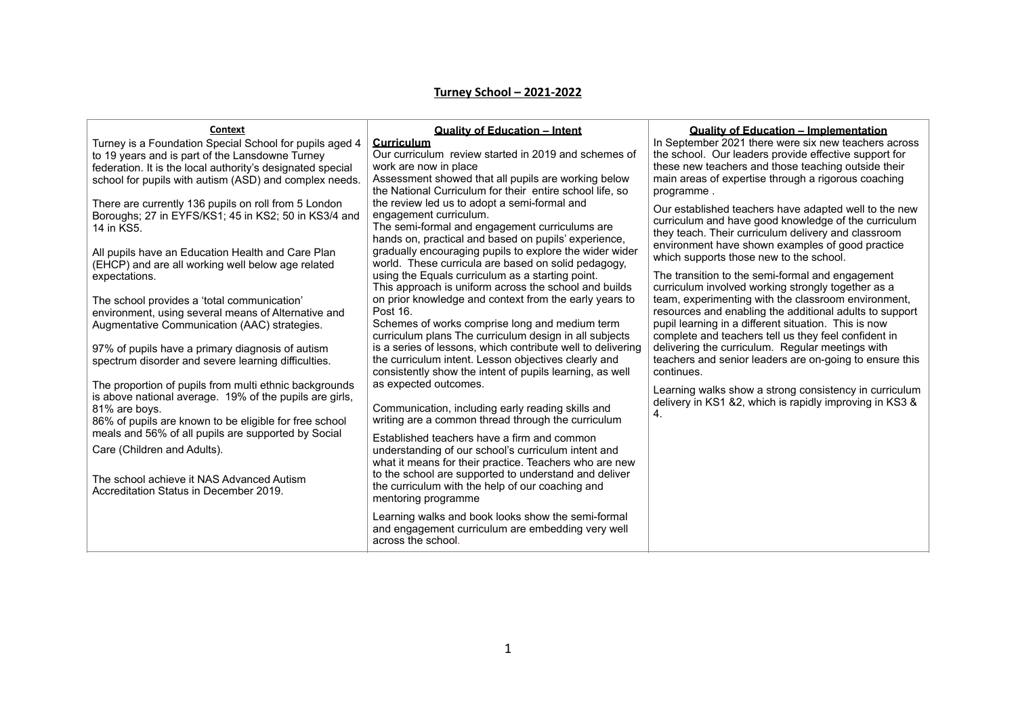## **Turney School – 2021-2022**

| Context                                                                                                                                                                                                                            |                                                                                                                                                                                                                                                        |                                                                                                                                                                                                                                                                                           |
|------------------------------------------------------------------------------------------------------------------------------------------------------------------------------------------------------------------------------------|--------------------------------------------------------------------------------------------------------------------------------------------------------------------------------------------------------------------------------------------------------|-------------------------------------------------------------------------------------------------------------------------------------------------------------------------------------------------------------------------------------------------------------------------------------------|
| Turney is a Foundation Special School for pupils aged 4<br>to 19 years and is part of the Lansdowne Turney<br>federation. It is the local authority's designated special<br>school for pupils with autism (ASD) and complex needs. | <b>Quality of Education - Intent</b><br>Curriculum<br>Our curriculum review started in 2019 and schemes of<br>work are now in place<br>Assessment showed that all pupils are working below<br>the National Curriculum for their entire school life, so | <b>Quality of Education - Implementation</b><br>In September 2021 there were six new teachers across<br>the school. Our leaders provide effective support for<br>these new teachers and those teaching outside their<br>main areas of expertise through a rigorous coaching<br>programme. |
| There are currently 136 pupils on roll from 5 London<br>Boroughs; 27 in EYFS/KS1; 45 in KS2; 50 in KS3/4 and<br>14 in KS5.<br>All pupils have an Education Health and Care Plan                                                    | the review led us to adopt a semi-formal and<br>engagement curriculum.<br>The semi-formal and engagement curriculums are<br>hands on, practical and based on pupils' experience,<br>gradually encouraging pupils to explore the wider wider            | Our established teachers have adapted well to the new<br>curriculum and have good knowledge of the curriculum<br>they teach. Their curriculum delivery and classroom<br>environment have shown examples of good practice                                                                  |
| (EHCP) and are all working well below age related<br>expectations.                                                                                                                                                                 | world. These curricula are based on solid pedagogy,<br>using the Equals curriculum as a starting point.<br>This approach is uniform across the school and builds                                                                                       | which supports those new to the school.<br>The transition to the semi-formal and engagement<br>curriculum involved working strongly together as a                                                                                                                                         |
| The school provides a 'total communication'<br>environment, using several means of Alternative and<br>Augmentative Communication (AAC) strategies.                                                                                 | on prior knowledge and context from the early years to<br>Post 16.<br>Schemes of works comprise long and medium term<br>curriculum plans The curriculum design in all subjects                                                                         | team, experimenting with the classroom environment,<br>resources and enabling the additional adults to support<br>pupil learning in a different situation. This is now<br>complete and teachers tell us they feel confident in                                                            |
| 97% of pupils have a primary diagnosis of autism<br>spectrum disorder and severe learning difficulties.                                                                                                                            | is a series of lessons, which contribute well to delivering<br>the curriculum intent. Lesson objectives clearly and<br>consistently show the intent of pupils learning, as well                                                                        | delivering the curriculum. Regular meetings with<br>teachers and senior leaders are on-going to ensure this<br>continues.                                                                                                                                                                 |
| The proportion of pupils from multi ethnic backgrounds<br>is above national average. 19% of the pupils are girls,<br>81% are boys.<br>86% of pupils are known to be eligible for free school                                       | as expected outcomes.<br>Communication, including early reading skills and<br>writing are a common thread through the curriculum                                                                                                                       | Learning walks show a strong consistency in curriculum<br>delivery in KS1 &2, which is rapidly improving in KS3 &<br>4.                                                                                                                                                                   |
| meals and 56% of all pupils are supported by Social<br>Care (Children and Adults).<br>The school achieve it NAS Advanced Autism                                                                                                    | Established teachers have a firm and common<br>understanding of our school's curriculum intent and<br>what it means for their practice. Teachers who are new<br>to the school are supported to understand and deliver                                  |                                                                                                                                                                                                                                                                                           |
| Accreditation Status in December 2019.                                                                                                                                                                                             | the curriculum with the help of our coaching and<br>mentoring programme                                                                                                                                                                                |                                                                                                                                                                                                                                                                                           |
|                                                                                                                                                                                                                                    | Learning walks and book looks show the semi-formal<br>and engagement curriculum are embedding very well<br>across the school.                                                                                                                          |                                                                                                                                                                                                                                                                                           |